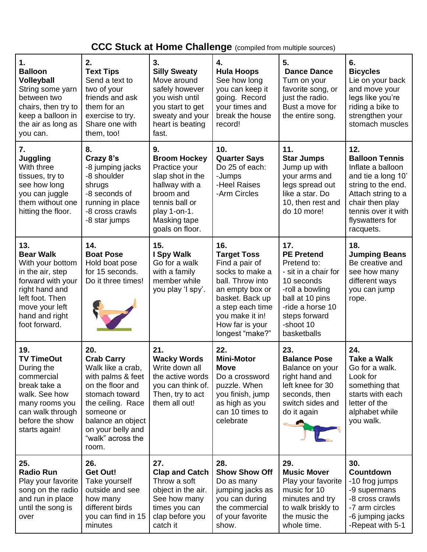## **CCC Stuck at Home Challenge** (compiled from multiple sources)

| 1.<br><b>Balloon</b><br>Volleyball<br>String some yarn<br>between two<br>chairs, then try to<br>keep a balloon in<br>the air as long as<br>you can.                            | 2.<br><b>Text Tips</b><br>Send a text to<br>two of your<br>friends and ask<br>them for an<br>exercise to try.<br>Share one with<br>them, too!                                                                       | 3.<br><b>Silly Sweaty</b><br>Move around<br>safely however<br>you wish until<br>you start to get<br>sweaty and your<br>heart is beating<br>fast.                   | 4.<br><b>Hula Hoops</b><br>See how long<br>you can keep it<br>going. Record<br>your times and<br>break the house<br>record!                                                                           | 5.<br><b>Dance Dance</b><br>Turn on your<br>favorite song, or<br>just the radio.<br>Bust a move for<br>the entire song.                                                              | 6.<br><b>Bicycles</b><br>Lie on your back<br>and move your<br>legs like you're<br>riding a bike to<br>strengthen your<br>stomach muscles                                                      |
|--------------------------------------------------------------------------------------------------------------------------------------------------------------------------------|---------------------------------------------------------------------------------------------------------------------------------------------------------------------------------------------------------------------|--------------------------------------------------------------------------------------------------------------------------------------------------------------------|-------------------------------------------------------------------------------------------------------------------------------------------------------------------------------------------------------|--------------------------------------------------------------------------------------------------------------------------------------------------------------------------------------|-----------------------------------------------------------------------------------------------------------------------------------------------------------------------------------------------|
| 7.<br><b>Juggling</b><br>With three<br>tissues, try to<br>see how long<br>you can juggle<br>them without one<br>hitting the floor.                                             | 8.<br>Crazy 8's<br>-8 jumping jacks<br>-8 shoulder<br>shrugs<br>-8 seconds of<br>running in place<br>-8 cross crawls<br>-8 star jumps                                                                               | 9.<br><b>Broom Hockey</b><br>Practice your<br>slap shot in the<br>hallway with a<br>broom and<br>tennis ball or<br>play 1-on-1.<br>Masking tape<br>goals on floor. | 10.<br><b>Quarter Says</b><br>Do 25 of each:<br>-Jumps<br>-Heel Raises<br>-Arm Circles                                                                                                                | 11.<br><b>Star Jumps</b><br>Jump up with<br>your arms and<br>legs spread out<br>like a star. Do<br>10, then rest and<br>do 10 more!                                                  | 12.<br><b>Balloon Tennis</b><br>Inflate a balloon<br>and tie a long 10'<br>string to the end.<br>Attach string to a<br>chair then play<br>tennis over it with<br>flyswatters for<br>racquets. |
| 13.<br><b>Bear Walk</b><br>With your bottom<br>in the air, step<br>forward with your<br>right hand and<br>left foot. Then<br>move your left<br>hand and right<br>foot forward. | 14.<br><b>Boat Pose</b><br>Hold boat pose<br>for 15 seconds.<br>Do it three times!                                                                                                                                  | 15.<br>I Spy Walk<br>Go for a walk<br>with a family<br>member while<br>you play 'I spy'.                                                                           | 16.<br><b>Target Toss</b><br>Find a pair of<br>socks to make a<br>ball. Throw into<br>an empty box or<br>basket. Back up<br>a step each time<br>you make it in!<br>How far is your<br>longest "make?" | 17.<br><b>PE Pretend</b><br>Pretend to:<br>- sit in a chair for<br>10 seconds<br>-roll a bowling<br>ball at 10 pins<br>-ride a horse 10<br>steps forward<br>-shoot 10<br>basketballs | 18.<br><b>Jumping Beans</b><br>Be creative and<br>see how many<br>different ways<br>you can jump<br>rope.                                                                                     |
| 19.<br><b>TV TimeOut</b><br>During the<br>commercial<br>break take a<br>walk. See how<br>many rooms you<br>can walk through<br>before the show<br>starts again!                | 20.<br><b>Crab Carry</b><br>Walk like a crab,<br>with palms & feet<br>on the floor and<br>stomach toward<br>the ceiling. Race<br>someone or<br>balance an object<br>on your belly and<br>"walk" across the<br>room. | 21.<br><b>Wacky Words</b><br>Write down all<br>the active words<br>you can think of.<br>Then, try to act<br>them all out!                                          | 22.<br><b>Mini-Motor</b><br><b>Move</b><br>Do a crossword<br>puzzle. When<br>you finish, jump<br>as high as you<br>can 10 times to<br>celebrate                                                       | 23.<br><b>Balance Pose</b><br>Balance on your<br>right hand and<br>left knee for 30<br>seconds, then<br>switch sides and<br>do it again                                              | 24.<br><b>Take a Walk</b><br>Go for a walk.<br>Look for<br>something that<br>starts with each<br>letter of the<br>alphabet while<br>you walk.                                                 |
| 25.<br><b>Radio Run</b><br>Play your favorite<br>song on the radio<br>and run in place<br>until the song is<br>over                                                            | 26.<br><b>Get Out!</b><br>Take yourself<br>outside and see<br>how many<br>different birds<br>you can find in 15<br>minutes                                                                                          | 27.<br><b>Clap and Catch</b><br>Throw a soft<br>object in the air.<br>See how many<br>times you can<br>clap before you<br>catch it                                 | 28.<br><b>Show Show Off</b><br>Do as many<br>jumping jacks as<br>you can during<br>the commercial<br>of your favorite<br>show.                                                                        | 29.<br><b>Music Mover</b><br>Play your favorite<br>music for 10<br>minutes and try<br>to walk briskly to<br>the music the<br>whole time.                                             | 30.<br><b>Countdown</b><br>-10 frog jumps<br>-9 supermans<br>-8 cross crawls<br>-7 arm circles<br>-6 jumping jacks<br>-Repeat with 5-1                                                        |